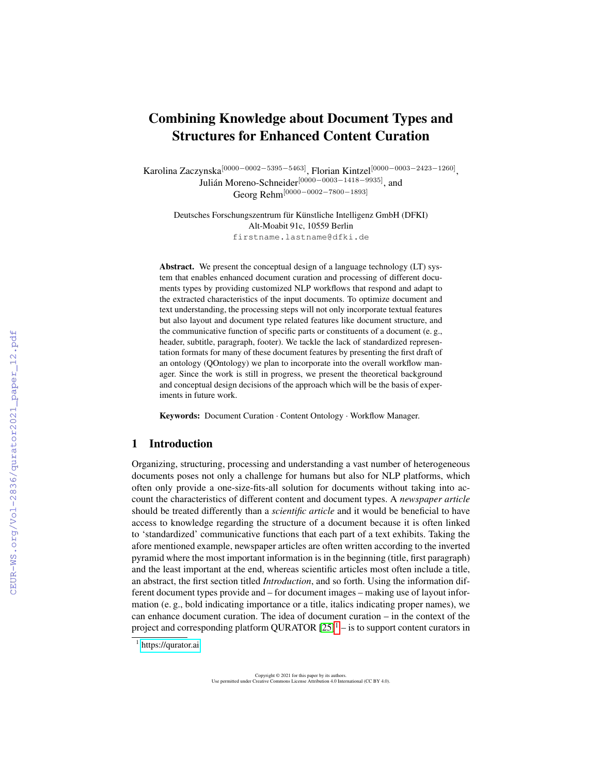# Combining Knowledge about Document Types and Structures for Enhanced Content Curation

Karolina Zaczynska $^{[0000-0002-5395-5463]},$  Florian Kintzel $^{[0000-0003-2423-1260]},$ Julián Moreno-Schneider<sup>[0000–0003–1418–9935]</sup>, and Georg Rehm[0000−0002−7800−1893]

Deutsches Forschungszentrum für Künstliche Intelligenz GmbH (DFKI) Alt-Moabit 91c, 10559 Berlin firstname.lastname@dfki.de

Abstract. We present the conceptual design of a language technology (LT) system that enables enhanced document curation and processing of different documents types by providing customized NLP workflows that respond and adapt to the extracted characteristics of the input documents. To optimize document and text understanding, the processing steps will not only incorporate textual features but also layout and document type related features like document structure, and the communicative function of specific parts or constituents of a document (e. g., header, subtitle, paragraph, footer). We tackle the lack of standardized representation formats for many of these document features by presenting the first draft of an ontology (QOntology) we plan to incorporate into the overall workflow manager. Since the work is still in progress, we present the theoretical background and conceptual design decisions of the approach which will be the basis of experiments in future work.

Keywords: Document Curation · Content Ontology · Workflow Manager.

# 1 Introduction

Organizing, structuring, processing and understanding a vast number of heterogeneous documents poses not only a challenge for humans but also for NLP platforms, which often only provide a one-size-fits-all solution for documents without taking into account the characteristics of different content and document types. A *newspaper article* should be treated differently than a *scientific article* and it would be beneficial to have access to knowledge regarding the structure of a document because it is often linked to 'standardized' communicative functions that each part of a text exhibits. Taking the afore mentioned example, newspaper articles are often written according to the inverted pyramid where the most important information is in the beginning (title, first paragraph) and the least important at the end, whereas scientific articles most often include a title, an abstract, the first section titled *Introduction*, and so forth. Using the information different document types provide and – for document images – making use of layout information (e. g., bold indicating importance or a title, italics indicating proper names), we can enhance document curation. The idea of document curation – in the context of the project and corresponding platform QURATOR  $[25]$ <sup>[1](#page-0-0)</sup> – is to support content curators in

Copyright © 2021 for this paper by its authors. Use permitted under Creative Commons License Attribution 4.0 International (CC BY 4.0).

<span id="page-0-0"></span><sup>&</sup>lt;sup>1</sup> <https://qurator.ai>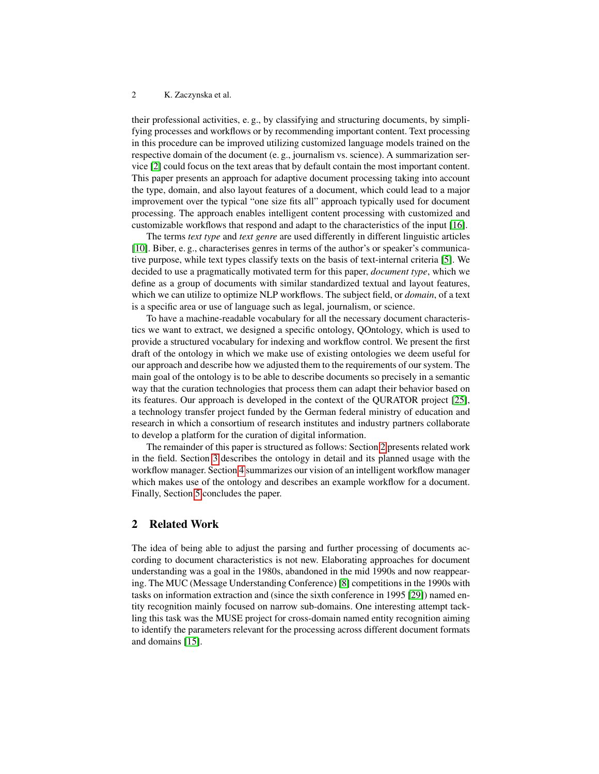their professional activities, e. g., by classifying and structuring documents, by simplifying processes and workflows or by recommending important content. Text processing in this procedure can be improved utilizing customized language models trained on the respective domain of the document (e. g., journalism vs. science). A summarization service [\[2\]](#page-8-0) could focus on the text areas that by default contain the most important content. This paper presents an approach for adaptive document processing taking into account the type, domain, and also layout features of a document, which could lead to a major improvement over the typical "one size fits all" approach typically used for document processing. The approach enables intelligent content processing with customized and customizable workflows that respond and adapt to the characteristics of the input [\[16\]](#page-9-0).

The terms *text type* and *text genre* are used differently in different linguistic articles [\[10\]](#page-9-1). Biber, e. g., characterises genres in terms of the author's or speaker's communicative purpose, while text types classify texts on the basis of text-internal criteria [\[5\]](#page-9-2). We decided to use a pragmatically motivated term for this paper, *document type*, which we define as a group of documents with similar standardized textual and layout features, which we can utilize to optimize NLP workflows. The subject field, or *domain*, of a text is a specific area or use of language such as legal, journalism, or science.

To have a machine-readable vocabulary for all the necessary document characteristics we want to extract, we designed a specific ontology, QOntology, which is used to provide a structured vocabulary for indexing and workflow control. We present the first draft of the ontology in which we make use of existing ontologies we deem useful for our approach and describe how we adjusted them to the requirements of our system. The main goal of the ontology is to be able to describe documents so precisely in a semantic way that the curation technologies that process them can adapt their behavior based on its features. Our approach is developed in the context of the QURATOR project [\[25\]](#page-10-0), a technology transfer project funded by the German federal ministry of education and research in which a consortium of research institutes and industry partners collaborate to develop a platform for the curation of digital information.

The remainder of this paper is structured as follows: Section [2](#page-1-0) presents related work in the field. Section [3](#page-2-0) describes the ontology in detail and its planned usage with the workflow manager. Section [4](#page-5-0) summarizes our vision of an intelligent workflow manager which makes use of the ontology and describes an example workflow for a document. Finally, Section [5](#page-8-1) concludes the paper.

# <span id="page-1-0"></span>2 Related Work

The idea of being able to adjust the parsing and further processing of documents according to document characteristics is not new. Elaborating approaches for document understanding was a goal in the 1980s, abandoned in the mid 1990s and now reappearing. The MUC (Message Understanding Conference) [\[8\]](#page-9-3) competitions in the 1990s with tasks on information extraction and (since the sixth conference in 1995 [\[29\]](#page-11-0)) named entity recognition mainly focused on narrow sub-domains. One interesting attempt tackling this task was the MUSE project for cross-domain named entity recognition aiming to identify the parameters relevant for the processing across different document formats and domains [\[15\]](#page-9-4).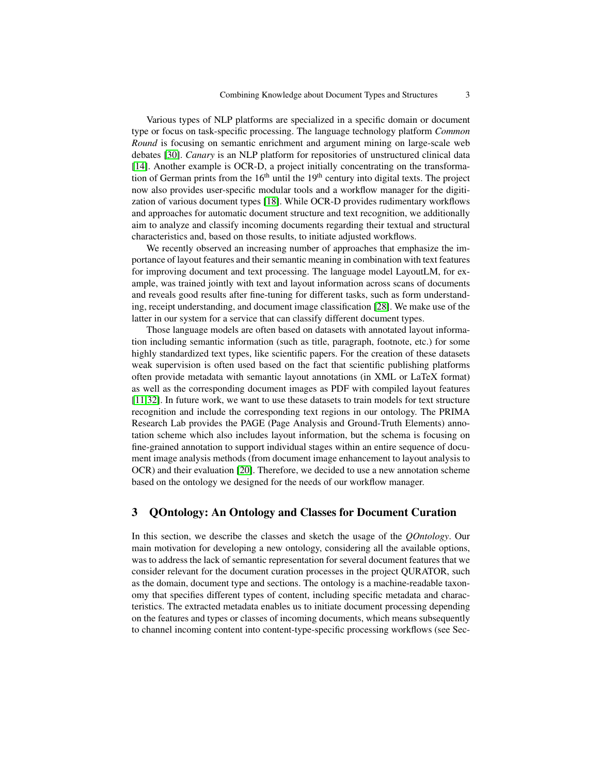Various types of NLP platforms are specialized in a specific domain or document type or focus on task-specific processing. The language technology platform *Common Round* is focusing on semantic enrichment and argument mining on large-scale web debates [\[30\]](#page-11-1). *Canary* is an NLP platform for repositories of unstructured clinical data [\[14\]](#page-9-5). Another example is OCR-D, a project initially concentrating on the transformation of German prints from the  $16<sup>th</sup>$  until the  $19<sup>th</sup>$  century into digital texts. The project now also provides user-specific modular tools and a workflow manager for the digitization of various document types [\[18\]](#page-10-1). While OCR-D provides rudimentary workflows and approaches for automatic document structure and text recognition, we additionally aim to analyze and classify incoming documents regarding their textual and structural characteristics and, based on those results, to initiate adjusted workflows.

We recently observed an increasing number of approaches that emphasize the importance of layout features and their semantic meaning in combination with text features for improving document and text processing. The language model LayoutLM, for example, was trained jointly with text and layout information across scans of documents and reveals good results after fine-tuning for different tasks, such as form understanding, receipt understanding, and document image classification [\[28\]](#page-11-2). We make use of the latter in our system for a service that can classify different document types.

Those language models are often based on datasets with annotated layout information including semantic information (such as title, paragraph, footnote, etc.) for some highly standardized text types, like scientific papers. For the creation of these datasets weak supervision is often used based on the fact that scientific publishing platforms often provide metadata with semantic layout annotations (in XML or LaTeX format) as well as the corresponding document images as PDF with compiled layout features [\[11,](#page-9-6)[32\]](#page-11-3). In future work, we want to use these datasets to train models for text structure recognition and include the corresponding text regions in our ontology. The PRIMA Research Lab provides the PAGE (Page Analysis and Ground-Truth Elements) annotation scheme which also includes layout information, but the schema is focusing on fine-grained annotation to support individual stages within an entire sequence of document image analysis methods (from document image enhancement to layout analysis to OCR) and their evaluation [\[20\]](#page-10-2). Therefore, we decided to use a new annotation scheme based on the ontology we designed for the needs of our workflow manager.

# <span id="page-2-0"></span>3 QOntology: An Ontology and Classes for Document Curation

In this section, we describe the classes and sketch the usage of the *QOntology*. Our main motivation for developing a new ontology, considering all the available options, was to address the lack of semantic representation for several document features that we consider relevant for the document curation processes in the project QURATOR, such as the domain, document type and sections. The ontology is a machine-readable taxonomy that specifies different types of content, including specific metadata and characteristics. The extracted metadata enables us to initiate document processing depending on the features and types or classes of incoming documents, which means subsequently to channel incoming content into content-type-specific processing workflows (see Sec-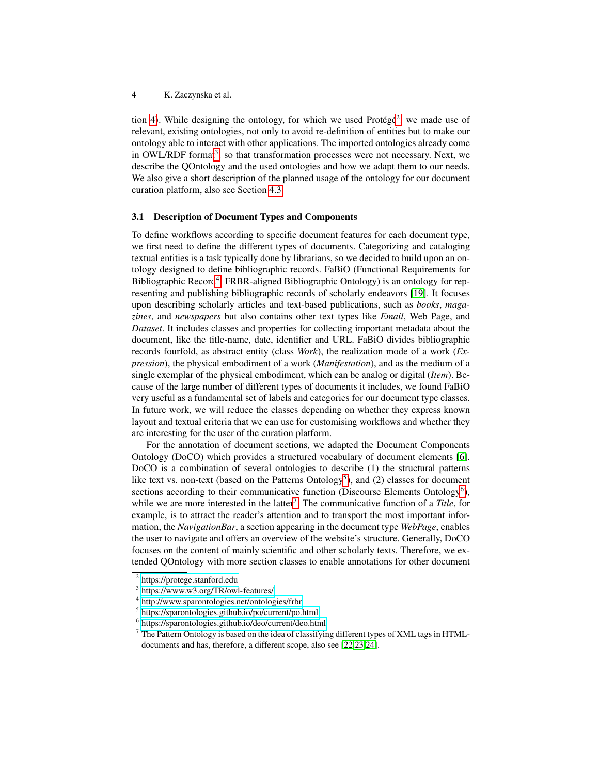tion [4\)](#page-5-0). While designing the ontology, for which we used Protégé<sup>[2](#page-3-0)</sup>, we made use of relevant, existing ontologies, not only to avoid re-definition of entities but to make our ontology able to interact with other applications. The imported ontologies already come in OWL/RDF format<sup>[3](#page-3-1)</sup>, so that transformation processes were not necessary. Next, we describe the QOntology and the used ontologies and how we adapt them to our needs. We also give a short description of the planned usage of the ontology for our document curation platform, also see Section [4.3.](#page-6-0)

### <span id="page-3-6"></span>3.1 Description of Document Types and Components

To define workflows according to specific document features for each document type, we first need to define the different types of documents. Categorizing and cataloging textual entities is a task typically done by librarians, so we decided to build upon an ontology designed to define bibliographic records. FaBiO (Functional Requirements for Bibliographic Record<sup>[4](#page-3-2)</sup>, FRBR-aligned Bibliographic Ontology) is an ontology for representing and publishing bibliographic records of scholarly endeavors [\[19\]](#page-10-3). It focuses upon describing scholarly articles and text-based publications, such as *books*, *magazines*, and *newspapers* but also contains other text types like *Email*, Web Page, and *Dataset*. It includes classes and properties for collecting important metadata about the document, like the title-name, date, identifier and URL. FaBiO divides bibliographic records fourfold, as abstract entity (class *Work*), the realization mode of a work (*Expression*), the physical embodiment of a work (*Manifestation*), and as the medium of a single exemplar of the physical embodiment, which can be analog or digital (*Item*). Because of the large number of different types of documents it includes, we found FaBiO very useful as a fundamental set of labels and categories for our document type classes. In future work, we will reduce the classes depending on whether they express known layout and textual criteria that we can use for customising workflows and whether they are interesting for the user of the curation platform.

For the annotation of document sections, we adapted the Document Components Ontology (DoCO) which provides a structured vocabulary of document elements [\[6\]](#page-9-7). DoCO is a combination of several ontologies to describe (1) the structural patterns like text vs. non-text (based on the Patterns Ontology<sup>[5](#page-3-3)</sup>), and (2) classes for document sections according to their communicative function (Discourse Elements Ontology<sup>[6](#page-3-4)</sup>), while we are more interested in the latter<sup>[7](#page-3-5)</sup>. The communicative function of a *Title*, for example, is to attract the reader's attention and to transport the most important information, the *NavigationBar*, a section appearing in the document type *WebPage*, enables the user to navigate and offers an overview of the website's structure. Generally, DoCO focuses on the content of mainly scientific and other scholarly texts. Therefore, we extended QOntology with more section classes to enable annotations for other document

<span id="page-3-0"></span><sup>2</sup> <https://protege.stanford.edu>

<span id="page-3-1"></span><sup>3</sup> <https://www.w3.org/TR/owl-features/>

<span id="page-3-2"></span><sup>4</sup> <http://www.sparontologies.net/ontologies/frbr>

<span id="page-3-3"></span><sup>5</sup> <https://sparontologies.github.io/po/current/po.html>

<span id="page-3-4"></span><sup>6</sup> <https://sparontologies.github.io/deo/current/deo.html>

<span id="page-3-5"></span><sup>7</sup> The Pattern Ontology is based on the idea of classifying different types of XML tags in HTMLdocuments and has, therefore, a different scope, also see [\[22,](#page-10-4)[23,](#page-10-5)[24\]](#page-10-6).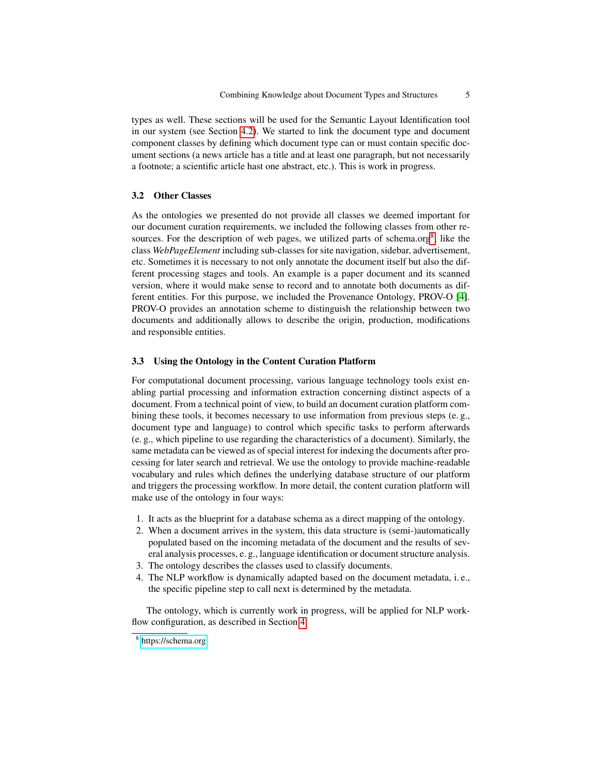types as well. These sections will be used for the Semantic Layout Identification tool in our system (see Section [4.2\)](#page-6-1). We started to link the document type and document component classes by defining which document type can or must contain specific document sections (a news article has a title and at least one paragraph, but not necessarily a footnote; a scientific article hast one abstract, etc.). This is work in progress.

### 3.2 Other Classes

As the ontologies we presented do not provide all classes we deemed important for our document curation requirements, we included the following classes from other re-sources. For the description of web pages, we utilized parts of schema.org<sup>[8](#page-4-0)</sup>, like the class *WebPageElement* including sub-classes for site navigation, sidebar, advertisement, etc. Sometimes it is necessary to not only annotate the document itself but also the different processing stages and tools. An example is a paper document and its scanned version, where it would make sense to record and to annotate both documents as different entities. For this purpose, we included the Provenance Ontology, PROV-O [\[4\]](#page-9-8). PROV-O provides an annotation scheme to distinguish the relationship between two documents and additionally allows to describe the origin, production, modifications and responsible entities.

### 3.3 Using the Ontology in the Content Curation Platform

For computational document processing, various language technology tools exist enabling partial processing and information extraction concerning distinct aspects of a document. From a technical point of view, to build an document curation platform combining these tools, it becomes necessary to use information from previous steps (e. g., document type and language) to control which specific tasks to perform afterwards (e. g., which pipeline to use regarding the characteristics of a document). Similarly, the same metadata can be viewed as of special interest for indexing the documents after processing for later search and retrieval. We use the ontology to provide machine-readable vocabulary and rules which defines the underlying database structure of our platform and triggers the processing workflow. In more detail, the content curation platform will make use of the ontology in four ways:

- 1. It acts as the blueprint for a database schema as a direct mapping of the ontology.
- 2. When a document arrives in the system, this data structure is (semi-)automatically populated based on the incoming metadata of the document and the results of several analysis processes, e. g., language identification or document structure analysis.
- 3. The ontology describes the classes used to classify documents.
- 4. The NLP workflow is dynamically adapted based on the document metadata, i. e., the specific pipeline step to call next is determined by the metadata.

The ontology, which is currently work in progress, will be applied for NLP workflow configuration, as described in Section [4.](#page-5-0)

<span id="page-4-0"></span><sup>8</sup> <https://schema.org>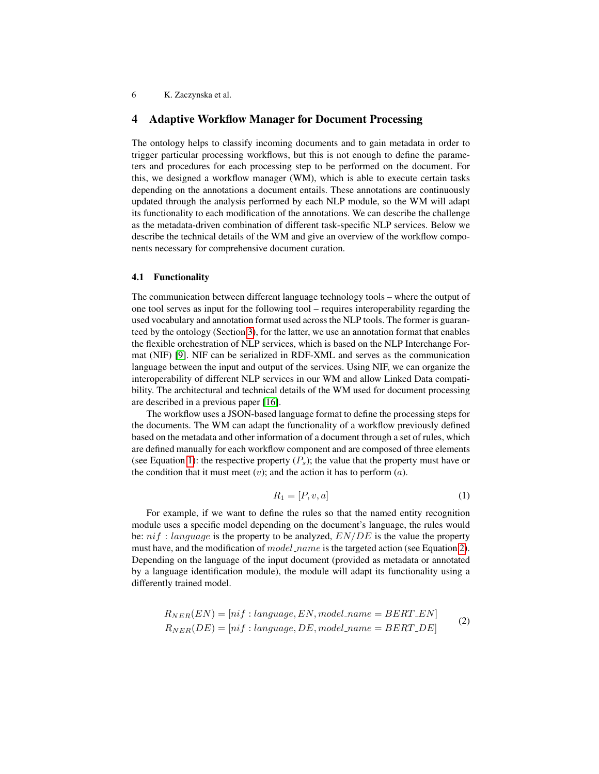### 6 K. Zaczynska et al.

# <span id="page-5-0"></span>4 Adaptive Workflow Manager for Document Processing

The ontology helps to classify incoming documents and to gain metadata in order to trigger particular processing workflows, but this is not enough to define the parameters and procedures for each processing step to be performed on the document. For this, we designed a workflow manager (WM), which is able to execute certain tasks depending on the annotations a document entails. These annotations are continuously updated through the analysis performed by each NLP module, so the WM will adapt its functionality to each modification of the annotations. We can describe the challenge as the metadata-driven combination of different task-specific NLP services. Below we describe the technical details of the WM and give an overview of the workflow components necessary for comprehensive document curation.

#### 4.1 Functionality

The communication between different language technology tools – where the output of one tool serves as input for the following tool – requires interoperability regarding the used vocabulary and annotation format used across the NLP tools. The former is guaranteed by the ontology (Section [3\)](#page-2-0), for the latter, we use an annotation format that enables the flexible orchestration of NLP services, which is based on the NLP Interchange Format (NIF) [\[9\]](#page-9-9). NIF can be serialized in RDF-XML and serves as the communication language between the input and output of the services. Using NIF, we can organize the interoperability of different NLP services in our WM and allow Linked Data compatibility. The architectural and technical details of the WM used for document processing are described in a previous paper [\[16\]](#page-9-0).

The workflow uses a JSON-based language format to define the processing steps for the documents. The WM can adapt the functionality of a workflow previously defined based on the metadata and other information of a document through a set of rules, which are defined manually for each workflow component and are composed of three elements (see Equation [1\)](#page-5-1): the respective property  $(P_s)$ ; the value that the property must have or the condition that it must meet  $(v)$ ; and the action it has to perform  $(a)$ .

$$
R_1 = [P, v, a] \tag{1}
$$

<span id="page-5-1"></span>For example, if we want to define the rules so that the named entity recognition module uses a specific model depending on the document's language, the rules would be:  $ni f$ : language is the property to be analyzed,  $EN/DE$  is the value the property must have, and the modification of model\_name is the targeted action (see Equation [2\)](#page-5-2). Depending on the language of the input document (provided as metadata or annotated by a language identification module), the module will adapt its functionality using a differently trained model.

<span id="page-5-2"></span>
$$
R_{NER}(EN) = [nif : language, EN, model_name = BERT\_EN]
$$
  
\n
$$
R_{NER}(DE) = [nif : language, DE, model_name = BERT\_DE]
$$
\n(2)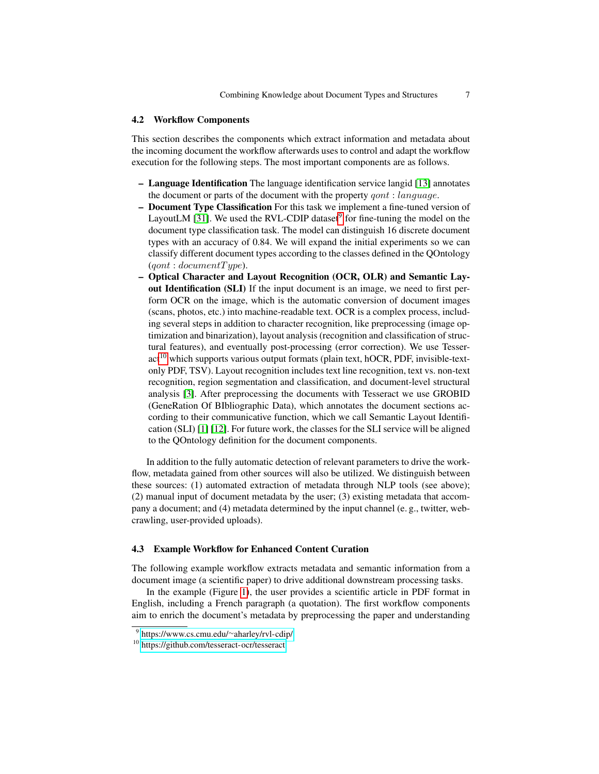### <span id="page-6-1"></span>4.2 Workflow Components

This section describes the components which extract information and metadata about the incoming document the workflow afterwards uses to control and adapt the workflow execution for the following steps. The most important components are as follows.

- Language Identification The language identification service langid [\[13\]](#page-9-10) annotates the document or parts of the document with the property *gont* : *language*.
- Document Type Classification For this task we implement a fine-tuned version of LayoutLM [\[31\]](#page-11-4). We used the RVL-CDIP dataset $9$  for fine-tuning the model on the document type classification task. The model can distinguish 16 discrete document types with an accuracy of 0.84. We will expand the initial experiments so we can classify different document types according to the classes defined in the QOntology  $(gont : documentType).$
- Optical Character and Layout Recognition (OCR, OLR) and Semantic Layout Identification (SLI) If the input document is an image, we need to first perform OCR on the image, which is the automatic conversion of document images (scans, photos, etc.) into machine-readable text. OCR is a complex process, including several steps in addition to character recognition, like preprocessing (image optimization and binarization), layout analysis (recognition and classification of structural features), and eventually post-processing (error correction). We use Tesser- $act<sup>10</sup>$  $act<sup>10</sup>$  $act<sup>10</sup>$  which supports various output formats (plain text, hOCR, PDF, invisible-textonly PDF, TSV). Layout recognition includes text line recognition, text vs. non-text recognition, region segmentation and classification, and document-level structural analysis [\[3\]](#page-9-11). After preprocessing the documents with Tesseract we use GROBID (GeneRation Of BIbliographic Data), which annotates the document sections according to their communicative function, which we call Semantic Layout Identification (SLI) [\[1\]](#page-8-2) [\[12\]](#page-9-12). For future work, the classes for the SLI service will be aligned to the QOntology definition for the document components.

In addition to the fully automatic detection of relevant parameters to drive the workflow, metadata gained from other sources will also be utilized. We distinguish between these sources: (1) automated extraction of metadata through NLP tools (see above); (2) manual input of document metadata by the user; (3) existing metadata that accompany a document; and (4) metadata determined by the input channel (e. g., twitter, webcrawling, user-provided uploads).

### <span id="page-6-0"></span>4.3 Example Workflow for Enhanced Content Curation

The following example workflow extracts metadata and semantic information from a document image (a scientific paper) to drive additional downstream processing tasks.

In the example (Figure [1\)](#page-7-0), the user provides a scientific article in PDF format in English, including a French paragraph (a quotation). The first workflow components aim to enrich the document's metadata by preprocessing the paper and understanding

<span id="page-6-2"></span><sup>9</sup> [https://www.cs.cmu.edu/](https://www.cs.cmu.edu/~aharley/rvl-cdip/)∼aharley/rvl-cdip/

<span id="page-6-3"></span><sup>10</sup> <https://github.com/tesseract-ocr/tesseract>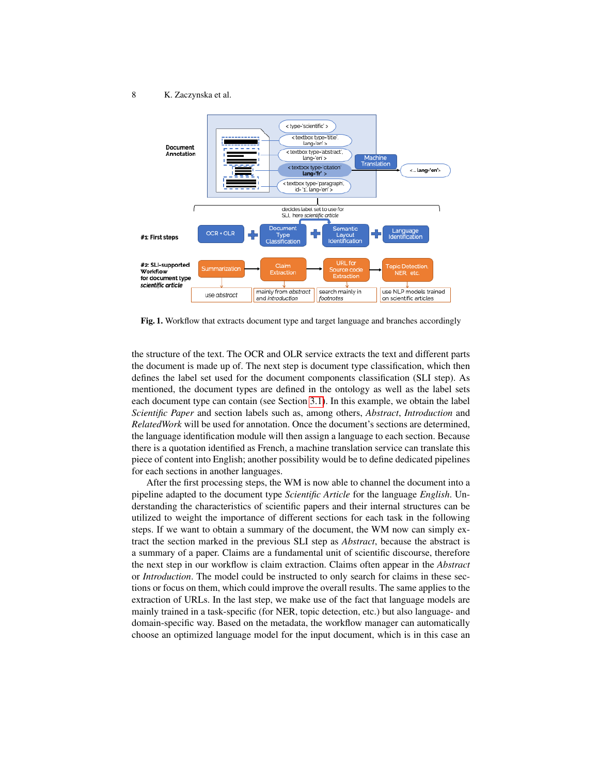#### 8 K. Zaczynska et al.



<span id="page-7-0"></span>Fig. 1. Workflow that extracts document type and target language and branches accordingly

the structure of the text. The OCR and OLR service extracts the text and different parts the document is made up of. The next step is document type classification, which then defines the label set used for the document components classification (SLI step). As mentioned, the document types are defined in the ontology as well as the label sets each document type can contain (see Section [3.1\)](#page-3-6). In this example, we obtain the label *Scientific Paper* and section labels such as, among others, *Abstract*, *Introduction* and *RelatedWork* will be used for annotation. Once the document's sections are determined, the language identification module will then assign a language to each section. Because there is a quotation identified as French, a machine translation service can translate this piece of content into English; another possibility would be to define dedicated pipelines for each sections in another languages.

After the first processing steps, the WM is now able to channel the document into a pipeline adapted to the document type *Scientific Article* for the language *English*. Understanding the characteristics of scientific papers and their internal structures can be utilized to weight the importance of different sections for each task in the following steps. If we want to obtain a summary of the document, the WM now can simply extract the section marked in the previous SLI step as *Abstract*, because the abstract is a summary of a paper. Claims are a fundamental unit of scientific discourse, therefore the next step in our workflow is claim extraction. Claims often appear in the *Abstract* or *Introduction*. The model could be instructed to only search for claims in these sections or focus on them, which could improve the overall results. The same applies to the extraction of URLs. In the last step, we make use of the fact that language models are mainly trained in a task-specific (for NER, topic detection, etc.) but also language- and domain-specific way. Based on the metadata, the workflow manager can automatically choose an optimized language model for the input document, which is in this case an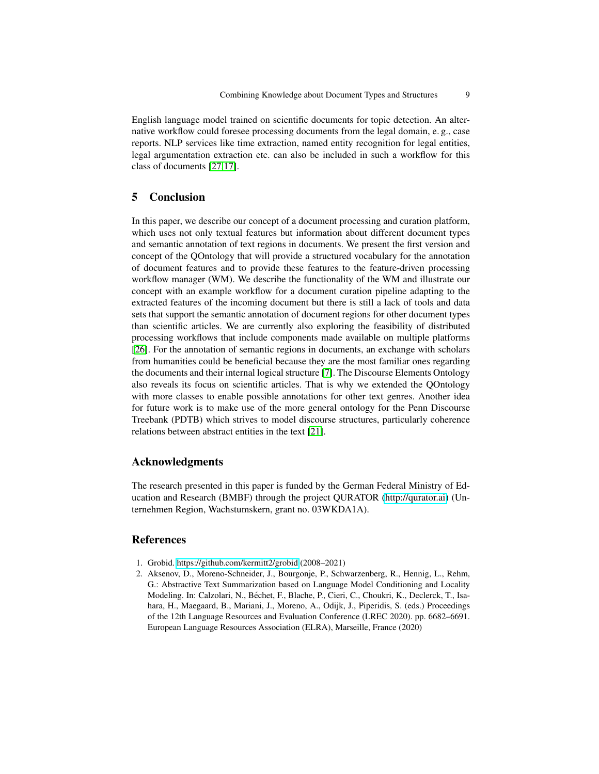English language model trained on scientific documents for topic detection. An alternative workflow could foresee processing documents from the legal domain, e. g., case reports. NLP services like time extraction, named entity recognition for legal entities, legal argumentation extraction etc. can also be included in such a workflow for this class of documents [\[27](#page-11-5)[,17\]](#page-9-13).

# <span id="page-8-1"></span>5 Conclusion

In this paper, we describe our concept of a document processing and curation platform, which uses not only textual features but information about different document types and semantic annotation of text regions in documents. We present the first version and concept of the QOntology that will provide a structured vocabulary for the annotation of document features and to provide these features to the feature-driven processing workflow manager (WM). We describe the functionality of the WM and illustrate our concept with an example workflow for a document curation pipeline adapting to the extracted features of the incoming document but there is still a lack of tools and data sets that support the semantic annotation of document regions for other document types than scientific articles. We are currently also exploring the feasibility of distributed processing workflows that include components made available on multiple platforms [\[26\]](#page-10-7). For the annotation of semantic regions in documents, an exchange with scholars from humanities could be beneficial because they are the most familiar ones regarding the documents and their internal logical structure [\[7\]](#page-9-14). The Discourse Elements Ontology also reveals its focus on scientific articles. That is why we extended the QOntology with more classes to enable possible annotations for other text genres. Another idea for future work is to make use of the more general ontology for the Penn Discourse Treebank (PDTB) which strives to model discourse structures, particularly coherence relations between abstract entities in the text [\[21\]](#page-10-8).

# Acknowledgments

The research presented in this paper is funded by the German Federal Ministry of Education and Research (BMBF) through the project QURATOR [\(http://qurator.ai\)](http://qurator.ai) (Unternehmen Region, Wachstumskern, grant no. 03WKDA1A).

### References

- <span id="page-8-2"></span>1. Grobid.<https://github.com/kermitt2/grobid> (2008–2021)
- <span id="page-8-0"></span>2. Aksenov, D., Moreno-Schneider, J., Bourgonje, P., Schwarzenberg, R., Hennig, L., Rehm, G.: Abstractive Text Summarization based on Language Model Conditioning and Locality Modeling. In: Calzolari, N., Bechet, F., Blache, P., Cieri, C., Choukri, K., Declerck, T., Isa- ´ hara, H., Maegaard, B., Mariani, J., Moreno, A., Odijk, J., Piperidis, S. (eds.) Proceedings of the 12th Language Resources and Evaluation Conference (LREC 2020). pp. 6682–6691. European Language Resources Association (ELRA), Marseille, France (2020)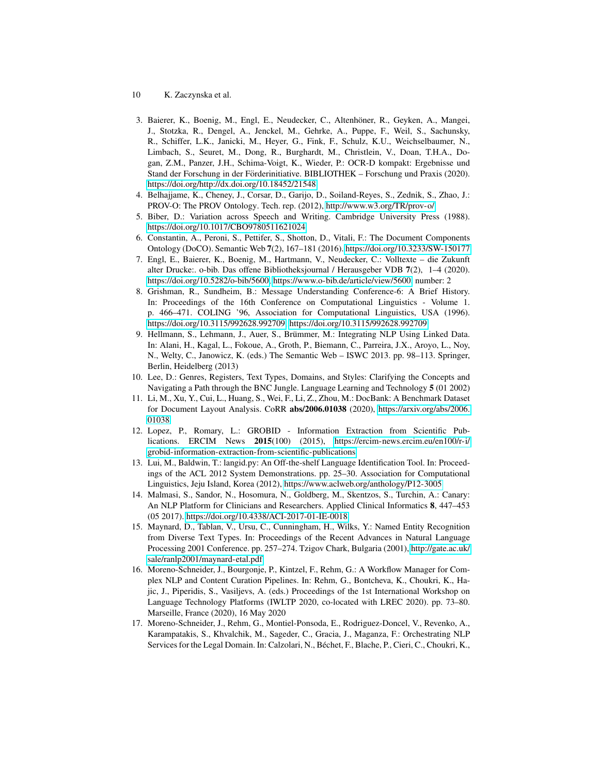- 10 K. Zaczynska et al.
- <span id="page-9-11"></span>3. Baierer, K., Boenig, M., Engl, E., Neudecker, C., Altenhoner, R., Geyken, A., Mangei, ¨ J., Stotzka, R., Dengel, A., Jenckel, M., Gehrke, A., Puppe, F., Weil, S., Sachunsky, R., Schiffer, L.K., Janicki, M., Heyer, G., Fink, F., Schulz, K.U., Weichselbaumer, N., Limbach, S., Seuret, M., Dong, R., Burghardt, M., Christlein, V., Doan, T.H.A., Dogan, Z.M., Panzer, J.H., Schima-Voigt, K., Wieder, P.: OCR-D kompakt: Ergebnisse und Stand der Forschung in der Forderinitiative. BIBLIOTHEK – Forschung und Praxis (2020). ¨ <https://doi.org/http://dx.doi.org/10.18452/21548>
- <span id="page-9-8"></span>4. Belhajjame, K., Cheney, J., Corsar, D., Garijo, D., Soiland-Reyes, S., Zednik, S., Zhao, J.: PROV-O: The PROV Ontology. Tech. rep. (2012),<http://www.w3.org/TR/prov-o/>
- <span id="page-9-2"></span>5. Biber, D.: Variation across Speech and Writing. Cambridge University Press (1988). <https://doi.org/10.1017/CBO9780511621024>
- <span id="page-9-7"></span>6. Constantin, A., Peroni, S., Pettifer, S., Shotton, D., Vitali, F.: The Document Components Ontology (DoCO). Semantic Web 7(2), 167–181 (2016).<https://doi.org/10.3233/SW-150177>
- <span id="page-9-14"></span>7. Engl, E., Baierer, K., Boenig, M., Hartmann, V., Neudecker, C.: Volltexte – die Zukunft alter Drucke:. o-bib. Das offene Bibliotheksjournal / Herausgeber VDB 7(2), 1–4 (2020). [https://doi.org/10.5282/o-bib/5600,](https://doi.org/10.5282/o-bib/5600) [https://www.o-bib.de/article/view/5600,](https://www.o-bib.de/article/view/5600) number: 2
- <span id="page-9-3"></span>8. Grishman, R., Sundheim, B.: Message Understanding Conference-6: A Brief History. In: Proceedings of the 16th Conference on Computational Linguistics - Volume 1. p. 466–471. COLING '96, Association for Computational Linguistics, USA (1996). [https://doi.org/10.3115/992628.992709, https://doi.org/10.3115/992628.992709](https://doi.org/10.3115/992628.992709)
- <span id="page-9-9"></span>9. Hellmann, S., Lehmann, J., Auer, S., Brümmer, M.: Integrating NLP Using Linked Data. In: Alani, H., Kagal, L., Fokoue, A., Groth, P., Biemann, C., Parreira, J.X., Aroyo, L., Noy, N., Welty, C., Janowicz, K. (eds.) The Semantic Web – ISWC 2013. pp. 98–113. Springer, Berlin, Heidelberg (2013)
- <span id="page-9-1"></span>10. Lee, D.: Genres, Registers, Text Types, Domains, and Styles: Clarifying the Concepts and Navigating a Path through the BNC Jungle. Language Learning and Technology 5 (01 2002)
- <span id="page-9-6"></span>11. Li, M., Xu, Y., Cui, L., Huang, S., Wei, F., Li, Z., Zhou, M.: DocBank: A Benchmark Dataset for Document Layout Analysis. CoRR abs/2006.01038 (2020), [https://arxiv.org/abs/2006.](https://arxiv.org/abs/2006.01038) [01038](https://arxiv.org/abs/2006.01038)
- <span id="page-9-12"></span>12. Lopez, P., Romary, L.: GROBID - Information Extraction from Scientific Publications. ERCIM News 2015(100) (2015), [https://ercim-news.ercim.eu/en100/r-i/](https://ercim-news.ercim.eu/en100/r-i/grobid-information-extraction-from-scientific-publications) [grobid-information-extraction-from-scientific-publications](https://ercim-news.ercim.eu/en100/r-i/grobid-information-extraction-from-scientific-publications)
- <span id="page-9-10"></span>13. Lui, M., Baldwin, T.: langid.py: An Off-the-shelf Language Identification Tool. In: Proceedings of the ACL 2012 System Demonstrations. pp. 25–30. Association for Computational Linguistics, Jeju Island, Korea (2012),<https://www.aclweb.org/anthology/P12-3005>
- <span id="page-9-5"></span>14. Malmasi, S., Sandor, N., Hosomura, N., Goldberg, M., Skentzos, S., Turchin, A.: Canary: An NLP Platform for Clinicians and Researchers. Applied Clinical Informatics 8, 447–453 (05 2017).<https://doi.org/10.4338/ACI-2017-01-IE-0018>
- <span id="page-9-4"></span>15. Maynard, D., Tablan, V., Ursu, C., Cunningham, H., Wilks, Y.: Named Entity Recognition from Diverse Text Types. In: Proceedings of the Recent Advances in Natural Language Processing 2001 Conference. pp. 257–274. Tzigov Chark, Bulgaria (2001), [http://gate.ac.uk/](http://gate.ac.uk/sale/ranlp2001/maynard-etal.pdf) [sale/ranlp2001/maynard-etal.pdf](http://gate.ac.uk/sale/ranlp2001/maynard-etal.pdf)
- <span id="page-9-0"></span>16. Moreno-Schneider, J., Bourgonje, P., Kintzel, F., Rehm, G.: A Workflow Manager for Complex NLP and Content Curation Pipelines. In: Rehm, G., Bontcheva, K., Choukri, K., Hajic, J., Piperidis, S., Vasiljevs, A. (eds.) Proceedings of the 1st International Workshop on Language Technology Platforms (IWLTP 2020, co-located with LREC 2020). pp. 73–80. Marseille, France (2020), 16 May 2020
- <span id="page-9-13"></span>17. Moreno-Schneider, J., Rehm, G., Montiel-Ponsoda, E., Rodriguez-Doncel, V., Revenko, A., Karampatakis, S., Khvalchik, M., Sageder, C., Gracia, J., Maganza, F.: Orchestrating NLP Services for the Legal Domain. In: Calzolari, N., Bechet, F., Blache, P., Cieri, C., Choukri, K., ´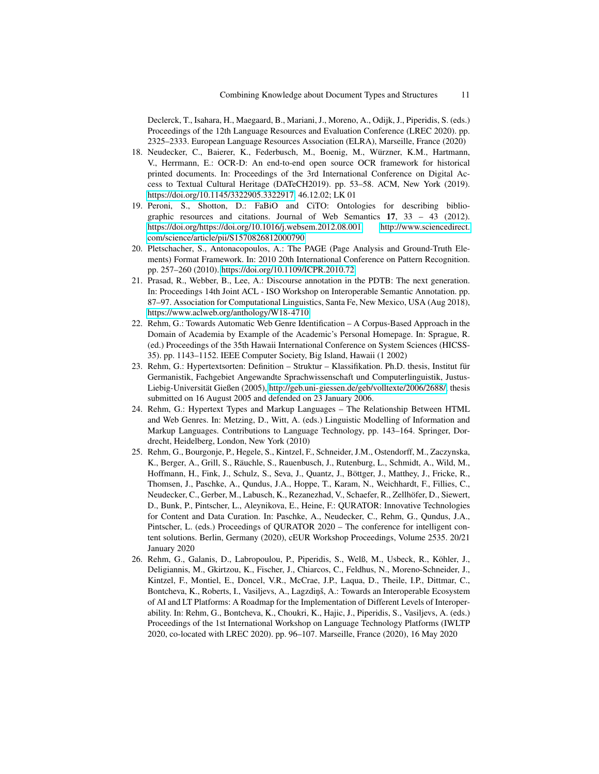Declerck, T., Isahara, H., Maegaard, B., Mariani, J., Moreno, A., Odijk, J., Piperidis, S. (eds.) Proceedings of the 12th Language Resources and Evaluation Conference (LREC 2020). pp. 2325–2333. European Language Resources Association (ELRA), Marseille, France (2020)

- <span id="page-10-1"></span>18. Neudecker, C., Baierer, K., Federbusch, M., Boenig, M., Würzner, K.M., Hartmann, V., Herrmann, E.: OCR-D: An end-to-end open source OCR framework for historical printed documents. In: Proceedings of the 3rd International Conference on Digital Access to Textual Cultural Heritage (DATeCH2019). pp. 53–58. ACM, New York (2019). [https://doi.org/10.1145/3322905.3322917,](https://doi.org/10.1145/3322905.3322917) 46.12.02; LK 01
- <span id="page-10-3"></span>19. Peroni, S., Shotton, D.: FaBiO and CiTO: Ontologies for describing bibliographic resources and citations. Journal of Web Semantics 17, 33 – 43 (2012). [https://doi.org/https://doi.org/10.1016/j.websem.2012.08.001,](https://doi.org/https://doi.org/10.1016/j.websem.2012.08.001) [http://www.sciencedirect.](http://www.sciencedirect.com/science/article/pii/S1570826812000790) [com/science/article/pii/S1570826812000790](http://www.sciencedirect.com/science/article/pii/S1570826812000790)
- <span id="page-10-2"></span>20. Pletschacher, S., Antonacopoulos, A.: The PAGE (Page Analysis and Ground-Truth Elements) Format Framework. In: 2010 20th International Conference on Pattern Recognition. pp. 257–260 (2010).<https://doi.org/10.1109/ICPR.2010.72>
- <span id="page-10-8"></span>21. Prasad, R., Webber, B., Lee, A.: Discourse annotation in the PDTB: The next generation. In: Proceedings 14th Joint ACL - ISO Workshop on Interoperable Semantic Annotation. pp. 87–97. Association for Computational Linguistics, Santa Fe, New Mexico, USA (Aug 2018), <https://www.aclweb.org/anthology/W18-4710>
- <span id="page-10-4"></span>22. Rehm, G.: Towards Automatic Web Genre Identification – A Corpus-Based Approach in the Domain of Academia by Example of the Academic's Personal Homepage. In: Sprague, R. (ed.) Proceedings of the 35th Hawaii International Conference on System Sciences (HICSS-35). pp. 1143–1152. IEEE Computer Society, Big Island, Hawaii (1 2002)
- <span id="page-10-5"></span>23. Rehm, G.: Hypertextsorten: Definition – Struktur – Klassifikation. Ph.D. thesis, Institut für Germanistik, Fachgebiet Angewandte Sprachwissenschaft und Computerlinguistik, JustusLiebig-Universität Gießen (2005), [http://geb.uni-giessen.de/geb/volltexte/2006/2688/,](http://geb.uni-giessen.de/geb/volltexte/2006/2688/) thesis submitted on 16 August 2005 and defended on 23 January 2006.
- <span id="page-10-6"></span>24. Rehm, G.: Hypertext Types and Markup Languages – The Relationship Between HTML and Web Genres. In: Metzing, D., Witt, A. (eds.) Linguistic Modelling of Information and Markup Languages. Contributions to Language Technology, pp. 143–164. Springer, Dordrecht, Heidelberg, London, New York (2010)
- <span id="page-10-0"></span>25. Rehm, G., Bourgonje, P., Hegele, S., Kintzel, F., Schneider, J.M., Ostendorff, M., Zaczynska, K., Berger, A., Grill, S., Räuchle, S., Rauenbusch, J., Rutenburg, L., Schmidt, A., Wild, M., Hoffmann, H., Fink, J., Schulz, S., Seva, J., Quantz, J., Bottger, J., Matthey, J., Fricke, R., ¨ Thomsen, J., Paschke, A., Qundus, J.A., Hoppe, T., Karam, N., Weichhardt, F., Fillies, C., Neudecker, C., Gerber, M., Labusch, K., Rezanezhad, V., Schaefer, R., Zellhofer, D., Siewert, ¨ D., Bunk, P., Pintscher, L., Aleynikova, E., Heine, F.: QURATOR: Innovative Technologies for Content and Data Curation. In: Paschke, A., Neudecker, C., Rehm, G., Qundus, J.A., Pintscher, L. (eds.) Proceedings of QURATOR 2020 – The conference for intelligent content solutions. Berlin, Germany (2020), cEUR Workshop Proceedings, Volume 2535. 20/21 January 2020
- <span id="page-10-7"></span>26. Rehm, G., Galanis, D., Labropoulou, P., Piperidis, S., Welß, M., Usbeck, R., Kohler, J., ¨ Deligiannis, M., Gkirtzou, K., Fischer, J., Chiarcos, C., Feldhus, N., Moreno-Schneider, J., Kintzel, F., Montiel, E., Doncel, V.R., McCrae, J.P., Laqua, D., Theile, I.P., Dittmar, C., Bontcheva, K., Roberts, I., Vasiljevs, A., Lagzdiņš, A.: Towards an Interoperable Ecosystem of AI and LT Platforms: A Roadmap for the Implementation of Different Levels of Interoperability. In: Rehm, G., Bontcheva, K., Choukri, K., Hajic, J., Piperidis, S., Vasiljevs, A. (eds.) Proceedings of the 1st International Workshop on Language Technology Platforms (IWLTP 2020, co-located with LREC 2020). pp. 96–107. Marseille, France (2020), 16 May 2020